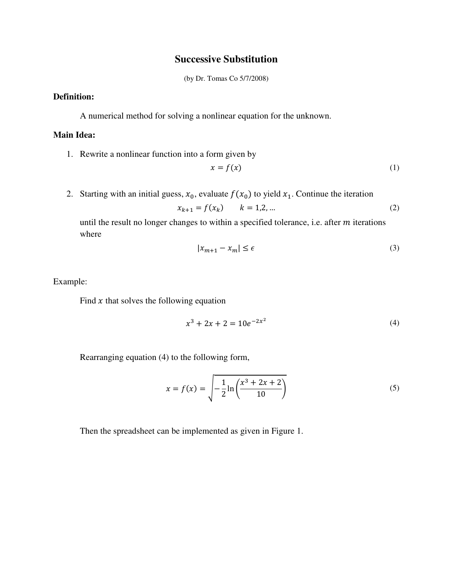## **Successive Substitution**

(by Dr. Tomas Co 5/7/2008)

## **Definition:**

A numerical method for solving a nonlinear equation for the unknown.

## **Main Idea:**

1. Rewrite a nonlinear function into a form given by

$$
x = f(x) \tag{1}
$$

2. Starting with an initial guess,  $x_0$ , evaluate  $f(x_0)$  to yield  $x_1$ . Continue the iteration

$$
x_{k+1} = f(x_k) \qquad k = 1, 2, \dots \tag{2}
$$

until the result no longer changes to within a specified tolerance, i.e. after  $m$  iterations where

$$
|x_{m+1} - x_m| \le \epsilon \tag{3}
$$

Example:

Find  $x$  that solves the following equation

$$
x^3 + 2x + 2 = 10e^{-2x^2}
$$
 (4)

Rearranging equation (4) to the following form,

$$
x = f(x) = \sqrt{-\frac{1}{2} \ln \left( \frac{x^3 + 2x + 2}{10} \right)}
$$
(5)

Then the spreadsheet can be implemented as given in Figure 1.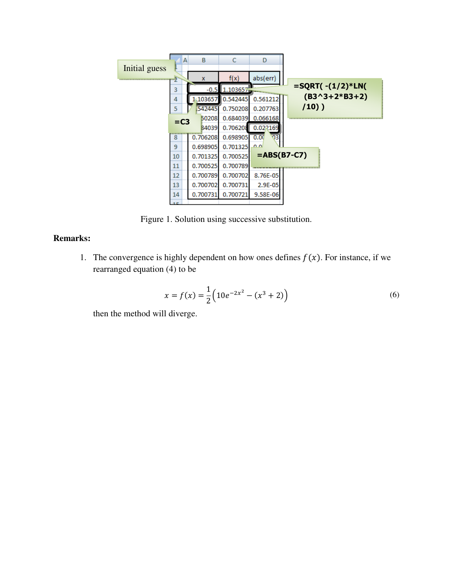

Figure 1. Solution using successive substitution.

## **Remarks:**

1. The convergence is highly dependent on how ones defines  $f(x)$ . For instance, if we rearranged equation (4) to be

$$
x = f(x) = \frac{1}{2} \left( 10e^{-2x^2} - (x^3 + 2) \right)
$$
 (6)

then the method will diverge.